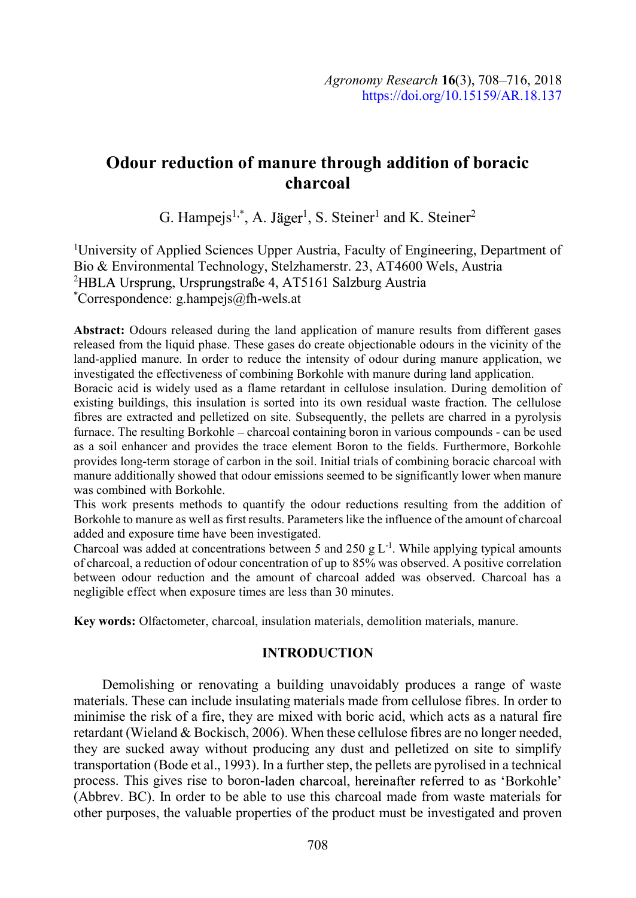# Odour reduction of manure through addition of boracic charcoal

G. Hampejs<sup>1,\*</sup>, A. Jäger<sup>1</sup>, S. Steiner<sup>1</sup> and K. Steiner<sup>2</sup>

1University of Applied Sciences Upper Austria, Faculty of Engineering, Department of Bio & Environmental Technology, Stelzhamerstr. 23, AT4600 Wels, Austria <sup>2</sup>HBLA Ursprung, Ursprungstraße 4, AT5161 Salzburg Austria \*Correspondence: g.hampejs@fh-wels.at

Abstract: Odours released during the land application of manure results from different gases released from the liquid phase. These gases do create objectionable odours in the vicinity of the land-applied manure. In order to reduce the intensity of odour during manure application, we investigated the effectiveness of combining Borkohle with manure during land application.

Boracic acid is widely used as a flame retardant in cellulose insulation. During demolition of existing buildings, this insulation is sorted into its own residual waste fraction. The cellulose fibres are extracted and pelletized on site. Subsequently, the pellets are charred in a pyrolysis furnace. The resulting Borkohle – charcoal containing boron in various compounds - can be used as a soil enhancer and provides the trace element Boron to the fields. Furthermore, Borkohle provides long-term storage of carbon in the soil. Initial trials of combining boracic charcoal with manure additionally showed that odour emissions seemed to be significantly lower when manure was combined with Borkohle.

This work presents methods to quantify the odour reductions resulting from the addition of Borkohle to manure as well as first results. Parameters like the influence of the amount of charcoal added and exposure time have been investigated.

Charcoal was added at concentrations between 5 and 250 g  $L^{-1}$ . While applying typical amounts of charcoal, a reduction of odour concentration of up to 85% was observed. A positive correlation between odour reduction and the amount of charcoal added was observed. Charcoal has a negligible effect when exposure times are less than 30 minutes.

Key words: Olfactometer, charcoal, insulation materials, demolition materials, manure.

# INTRODUCTION

Demolishing or renovating a building unavoidably produces a range of waste materials. These can include insulating materials made from cellulose fibres. In order to minimise the risk of a fire, they are mixed with boric acid, which acts as a natural fire retardant (Wieland & Bockisch, 2006). When these cellulose fibres are no longer needed, they are sucked away without producing any dust and pelletized on site to simplify transportation (Bode et al., 1993). In a further step, the pellets are pyrolised in a technical process. This gives rise to boron-laden charcoal, hereinafter referred to as 'Borkohle' (Abbrev. BC). In order to be able to use this charcoal made from waste materials for other purposes, the valuable properties of the product must be investigated and proven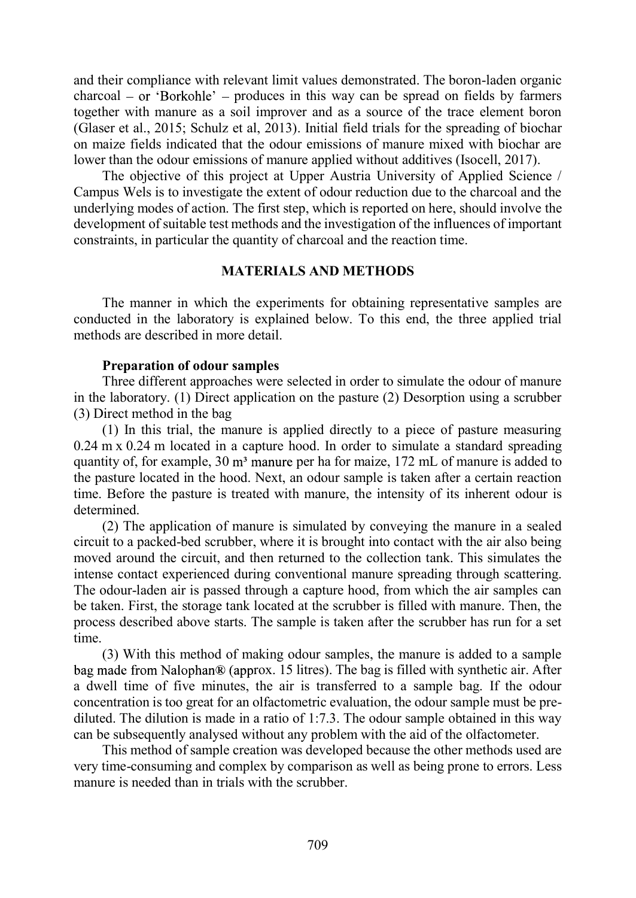and their compliance with relevant limit values demonstrated. The boron-laden organic  $\text{charcoal} - \text{or } \text{'Borkohle'} - \text{produces in this way can be spread on fields by farmers}$ together with manure as a soil improver and as a source of the trace element boron (Glaser et al., 2015; Schulz et al, 2013). Initial field trials for the spreading of biochar on maize fields indicated that the odour emissions of manure mixed with biochar are lower than the odour emissions of manure applied without additives (Isocell, 2017).

The objective of this project at Upper Austria University of Applied Science / Campus Wels is to investigate the extent of odour reduction due to the charcoal and the underlying modes of action. The first step, which is reported on here, should involve the development of suitable test methods and the investigation of the influences of important constraints, in particular the quantity of charcoal and the reaction time.

# MATERIALS AND METHODS

The manner in which the experiments for obtaining representative samples are conducted in the laboratory is explained below. To this end, the three applied trial methods are described in more detail

# Preparation of odour samples

Three different approaches were selected in order to simulate the odour of manure in the laboratory. (1) Direct application on the pasture (2) Desorption using a scrubber (3) Direct method in the bag

(1) In this trial, the manure is applied directly to a piece of pasture measuring 0.24 m x 0.24 m located in a capture hood. In order to simulate a standard spreading quantity of, for example, 30 m<sup>3</sup> manure per ha for maize, 172 mL of manure is added to the pasture located in the hood. Next, an odour sample is taken after a certain reaction time. Before the pasture is treated with manure, the intensity of its inherent odour is determined.

(2) The application of manure is simulated by conveying the manure in a sealed circuit to a packed-bed scrubber, where it is brought into contact with the air also being moved around the circuit, and then returned to the collection tank. This simulates the intense contact experienced during conventional manure spreading through scattering. The odour-laden air is passed through a capture hood, from which the air samples can be taken. First, the storage tank located at the scrubber is filled with manure. Then, the process described above starts. The sample is taken after the scrubber has run for a set time.

(3) With this method of making odour samples, the manure is added to a sample bag made from Nalophan $\mathcal D$  (approx. 15 litres). The bag is filled with synthetic air. After a dwell time of five minutes, the air is transferred to a sample bag. If the odour concentration is too great for an olfactometric evaluation, the odour sample must be prediluted. The dilution is made in a ratio of 1:7.3. The odour sample obtained in this way can be subsequently analysed without any problem with the aid of the olfactometer.

This method of sample creation was developed because the other methods used are very time-consuming and complex by comparison as well as being prone to errors. Less manure is needed than in trials with the scrubber.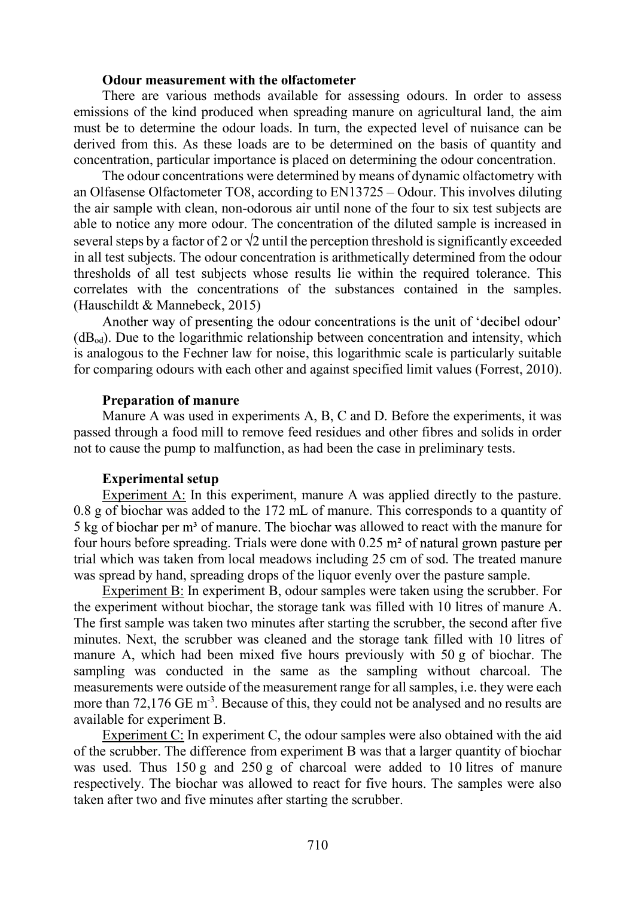## Odour measurement with the olfactometer

There are various methods available for assessing odours. In order to assess emissions of the kind produced when spreading manure on agricultural land, the aim must be to determine the odour loads. In turn, the expected level of nuisance can be derived from this. As these loads are to be determined on the basis of quantity and concentration, particular importance is placed on determining the odour concentration.

The odour concentrations were determined by means of dynamic olfactometry with an Olfasense Olfactometer TO8, according to EN13725 Odour. This involves diluting the air sample with clean, non-odorous air until none of the four to six test subjects are able to notice any more odour. The concentration of the diluted sample is increased in several steps by a factor of 2 or  $\sqrt{2}$  until the perception threshold is significantly exceeded in all test subjects. The odour concentration is arithmetically determined from the odour thresholds of all test subjects whose results lie within the required tolerance. This correlates with the concentrations of the substances contained in the samples. (Hauschildt & Mannebeck, 2015)

Another way of presenting the odour concentrations is the unit of 'decibel odour'  $(dB<sub>od</sub>)$ . Due to the logarithmic relationship between concentration and intensity, which is analogous to the Fechner law for noise, this logarithmic scale is particularly suitable for comparing odours with each other and against specified limit values (Forrest, 2010).

#### Preparation of manure

Manure A was used in experiments A, B, C and D. Before the experiments, it was passed through a food mill to remove feed residues and other fibres and solids in order not to cause the pump to malfunction, as had been the case in preliminary tests.

#### Experimental setup

Experiment A: In this experiment, manure A was applied directly to the pasture. 0.8 g of biochar was added to the 172 mL of manure. This corresponds to a quantity of 5 kg of biochar per  $m<sup>3</sup>$  of manure. The biochar was allowed to react with the manure for four hours before spreading. Trials were done with  $0.25$  m<sup>2</sup> of natural grown pasture per trial which was taken from local meadows including 25 cm of sod. The treated manure was spread by hand, spreading drops of the liquor evenly over the pasture sample.

Experiment B: In experiment B, odour samples were taken using the scrubber. For the experiment without biochar, the storage tank was filled with 10 litres of manure A. The first sample was taken two minutes after starting the scrubber, the second after five minutes. Next, the scrubber was cleaned and the storage tank filled with 10 litres of manure A, which had been mixed five hours previously with 50 g of biochar. The sampling was conducted in the same as the sampling without charcoal. The measurements were outside of the measurement range for all samples, i.e. they were each more than  $72,176$  GE m<sup>-3</sup>. Because of this, they could not be analysed and no results are available for experiment B.

Experiment C: In experiment C, the odour samples were also obtained with the aid of the scrubber. The difference from experiment B was that a larger quantity of biochar was used. Thus  $150 g$  and  $250 g$  of charcoal were added to 10 litres of manure respectively. The biochar was allowed to react for five hours. The samples were also taken after two and five minutes after starting the scrubber.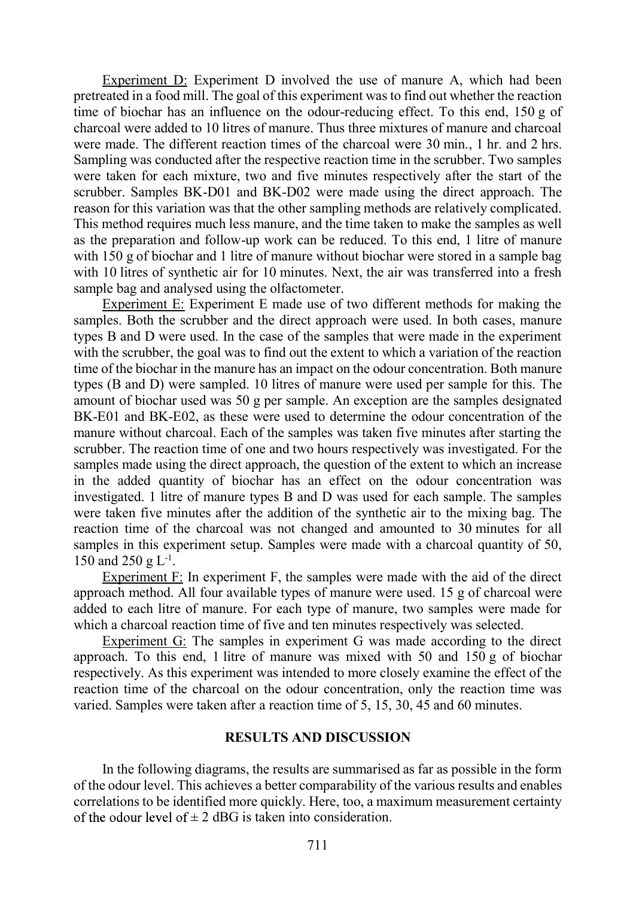Experiment D: Experiment D involved the use of manure A, which had been pretreated in a food mill. The goal of this experiment was to find out whether the reaction time of biochar has an influence on the odour-reducing effect. To this end, 150 g of charcoal were added to 10 litres of manure. Thus three mixtures of manure and charcoal were made. The different reaction times of the charcoal were 30 min., 1 hr. and 2 hrs. Sampling was conducted after the respective reaction time in the scrubber. Two samples were taken for each mixture, two and five minutes respectively after the start of the scrubber. Samples BK-D01 and BK-D02 were made using the direct approach. The reason for this variation was that the other sampling methods are relatively complicated. This method requires much less manure, and the time taken to make the samples as well as the preparation and follow-up work can be reduced. To this end, 1 litre of manure with 150 g of biochar and 1 litre of manure without biochar were stored in a sample bag with 10 litres of synthetic air for 10 minutes. Next, the air was transferred into a fresh sample bag and analysed using the olfactometer.

Experiment E: Experiment E made use of two different methods for making the samples. Both the scrubber and the direct approach were used. In both cases, manure types B and D were used. In the case of the samples that were made in the experiment with the scrubber, the goal was to find out the extent to which a variation of the reaction time of the biochar in the manure has an impact on the odour concentration. Both manure types (B and D) were sampled. 10 litres of manure were used per sample for this. The amount of biochar used was 50 g per sample. An exception are the samples designated BK-E01 and BK-E02, as these were used to determine the odour concentration of the manure without charcoal. Each of the samples was taken five minutes after starting the scrubber. The reaction time of one and two hours respectively was investigated. For the samples made using the direct approach, the question of the extent to which an increase in the added quantity of biochar has an effect on the odour concentration was investigated. 1 litre of manure types B and D was used for each sample. The samples were taken five minutes after the addition of the synthetic air to the mixing bag. The reaction time of the charcoal was not changed and amounted to 30 minutes for all samples in this experiment setup. Samples were made with a charcoal quantity of 50, 150 and 250 g  $L^{-1}$ .

. Experiment F: In experiment F, the samples were made with the aid of the direct approach method. All four available types of manure were used. 15 g of charcoal were added to each litre of manure. For each type of manure, two samples were made for which a charcoal reaction time of five and ten minutes respectively was selected.

Experiment G: The samples in experiment G was made according to the direct approach. To this end, 1 litre of manure was mixed with 50 and 150 g of biochar respectively. As this experiment was intended to more closely examine the effect of the reaction time of the charcoal on the odour concentration, only the reaction time was varied. Samples were taken after a reaction time of 5, 15, 30, 45 and 60 minutes.

#### RESULTS AND DISCUSSION

In the following diagrams, the results are summarised as far as possible in the form of the odour level. This achieves a better comparability of the various results and enables correlations to be identified more quickly. Here, too, a maximum measurement certainty of the odour level of  $\pm 2$  dBG is taken into consideration.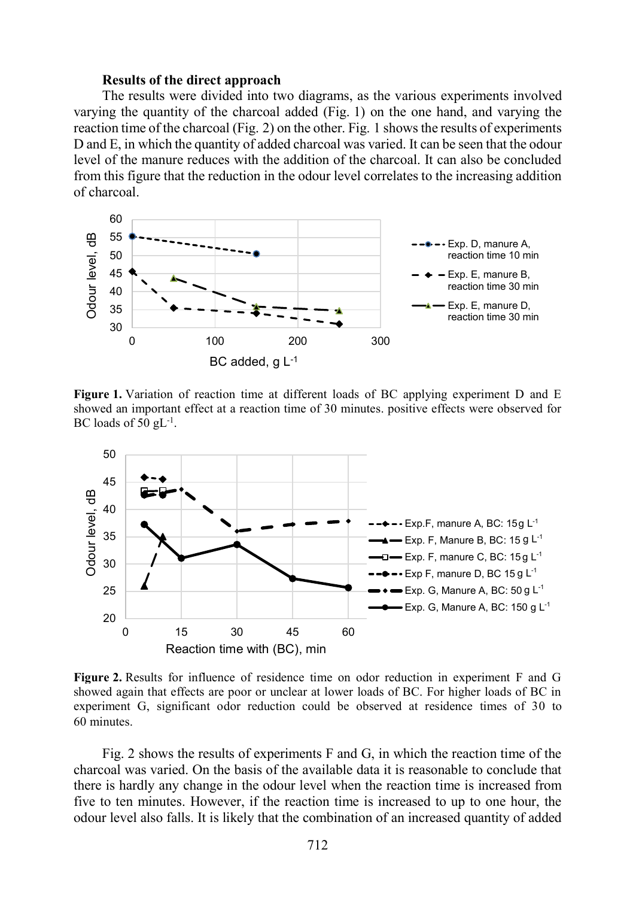#### Results of the direct approach

The results were divided into two diagrams, as the various experiments involved varying the quantity of the charcoal added (Fig. 1) on the one hand, and varying the reaction time of the charcoal (Fig. 2) on the other. Fig. 1 shows the results of experiments D and E, in which the quantity of added charcoal was varied. It can be seen that the odour level of the manure reduces with the addition of the charcoal. It can also be concluded from this figure that the reduction in the odour level correlates to the increasing addition of charcoal.



Figure 1. Variation of reaction time at different loads of BC applying experiment D and E showed an important effect at a reaction time of 30 minutes. positive effects were observed for BC loads of 50  $gL^{-1}$ . .



Figure 2. Results for influence of residence time on odor reduction in experiment F and G showed again that effects are poor or unclear at lower loads of BC. For higher loads of BC in experiment G, significant odor reduction could be observed at residence times of 30 to 60 minutes.

Fig. 2 shows the results of experiments F and G, in which the reaction time of the charcoal was varied. On the basis of the available data it is reasonable to conclude that there is hardly any change in the odour level when the reaction time is increased from five to ten minutes. However, if the reaction time is increased to up to one hour, the odour level also falls. It is likely that the combination of an increased quantity of added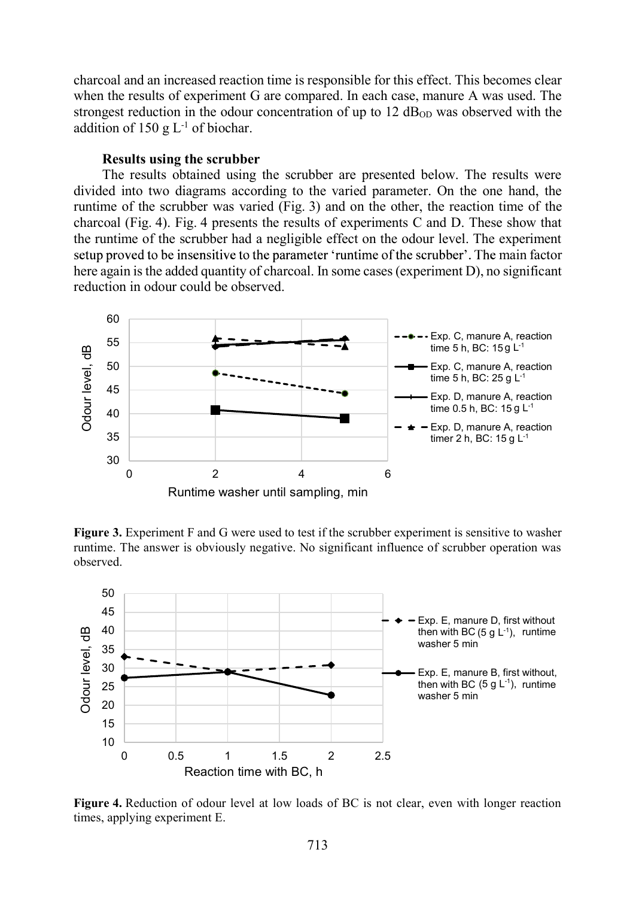charcoal and an increased reaction time is responsible for this effect. This becomes clear when the results of experiment G are compared. In each case, manure A was used. The strongest reduction in the odour concentration of up to  $12 \text{ dB}_{OD}$  was observed with the addition of 150 g  $L^{-1}$  of biochar.

#### Results using the scrubber

The results obtained using the scrubber are presented below. The results were divided into two diagrams according to the varied parameter. On the one hand, the runtime of the scrubber was varied (Fig. 3) and on the other, the reaction time of the charcoal (Fig. 4). Fig. 4 presents the results of experiments C and D. These show that the runtime of the scrubber had a negligible effect on the odour level. The experiment setup proved to be insensitive to the parameter 'runtime of the scrubber'. The main factor here again is the added quantity of charcoal. In some cases (experiment D), no significant reduction in odour could be observed.



Figure 3. Experiment F and G were used to test if the scrubber experiment is sensitive to washer runtime. The answer is obviously negative. No significant influence of scrubber operation was observed.



Figure 4. Reduction of odour level at low loads of BC is not clear, even with longer reaction times, applying experiment E.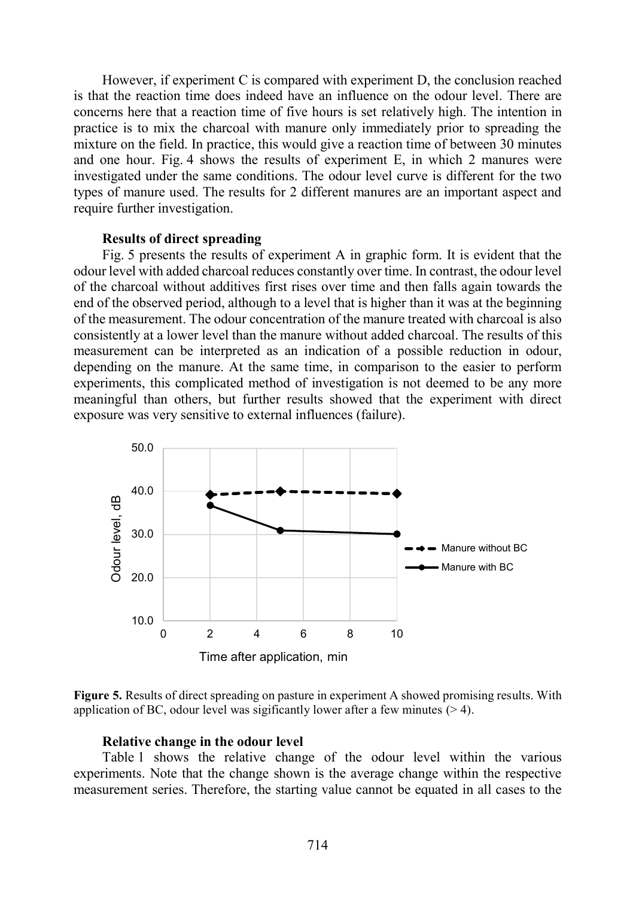However, if experiment C is compared with experiment D, the conclusion reached is that the reaction time does indeed have an influence on the odour level. There are concerns here that a reaction time of five hours is set relatively high. The intention in practice is to mix the charcoal with manure only immediately prior to spreading the mixture on the field. In practice, this would give a reaction time of between 30 minutes and one hour. Fig. 4 shows the results of experiment E, in which 2 manures were investigated under the same conditions. The odour level curve is different for the two types of manure used. The results for 2 different manures are an important aspect and require further investigation.

## Results of direct spreading

Fig. 5 presents the results of experiment A in graphic form. It is evident that the odour level with added charcoal reduces constantly over time. In contrast, the odour level of the charcoal without additives first rises over time and then falls again towards the end of the observed period, although to a level that is higher than it was at the beginning of the measurement. The odour concentration of the manure treated with charcoal is also consistently at a lower level than the manure without added charcoal. The results of this measurement can be interpreted as an indication of a possible reduction in odour, depending on the manure. At the same time, in comparison to the easier to perform experiments, this complicated method of investigation is not deemed to be any more meaningful than others, but further results showed that the experiment with direct exposure was very sensitive to external influences (failure).



Figure 5. Results of direct spreading on pasture in experiment A showed promising results. With application of BC, odour level was sigificantly lower after a few minutes  $(>4)$ .

#### Relative change in the odour level

Table 1 shows the relative change of the odour level within the various experiments. Note that the change shown is the average change within the respective measurement series. Therefore, the starting value cannot be equated in all cases to the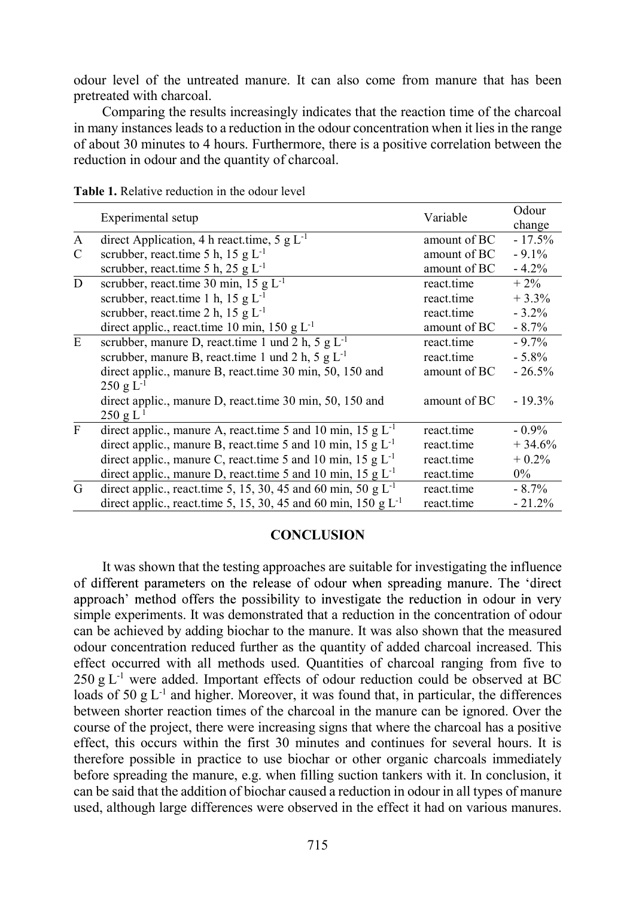odour level of the untreated manure. It can also come from manure that has been pretreated with charcoal.

Comparing the results increasingly indicates that the reaction time of the charcoal in many instances leads to a reduction in the odour concentration when it lies in the range of about 30 minutes to 4 hours. Furthermore, there is a positive correlation between the reduction in odour and the quantity of charcoal.

|              | Experimental setup                                                      | Variable     | Odour<br>change |
|--------------|-------------------------------------------------------------------------|--------------|-----------------|
| $\mathbf{A}$ | direct Application, 4 h react.time, 5 g $L^{-1}$                        | amount of BC | $-17.5%$        |
| C            | scrubber, react.time 5 h, 15 g $L^{-1}$                                 | amount of BC | $-9.1%$         |
|              | scrubber, react.time 5 h, 25 g $L^{-1}$                                 | amount of BC | $-4.2%$         |
| $\mathbf D$  | scrubber, react.time 30 min, 15 g $L^{-1}$                              | react.time   | $+2\%$          |
|              | scrubber, react.time 1 h, 15 g $L^{-1}$                                 | react.time   | $+3.3%$         |
|              | scrubber, react.time 2 h, 15 g $L^{-1}$                                 | react.time   | $-3.2\%$        |
|              | direct applic., react.time 10 min, 150 g $L^{-1}$                       | amount of BC | $-8.7\%$        |
| ${\bf E}$    | scrubber, manure D, react.time 1 und 2 h, 5 g $L^{-1}$                  | react.time   | $-9.7%$         |
|              | scrubber, manure B, reaction 1 und 2 h, 5 g $L^{-1}$                    | react.time   | $-5.8\%$        |
|              | direct applic., manure B, react.time 30 min, 50, 150 and                | amount of BC | $-26.5%$        |
|              | $250 \text{ g L}^{-1}$                                                  |              |                 |
|              | direct applic., manure D, react.time 30 min, 50, 150 and                | amount of BC | $-19.3\%$       |
|              | $250 \text{ g L}^1$                                                     |              |                 |
| $\mathbf{F}$ | direct applic., manure A, react time 5 and 10 min, 15 g $L^{-1}$        | react.time   | $-0.9\%$        |
|              | direct applic., manure B, react time 5 and 10 min, 15 g $L^{-1}$        | react.time   | $+34.6%$        |
|              | direct applic., manure C, react.time 5 and 10 min, 15 g L <sup>-1</sup> | react.time   | $+0.2\%$        |
|              | direct applic., manure D, react.time 5 and 10 min, 15 g $L^{-1}$        | react.time   | $0\%$           |
| G            | direct applic., react.time 5, 15, 30, 45 and 60 min, 50 g $L^{-1}$      | react.time   | $-8.7\%$        |
|              | direct applic., react.time 5, 15, 30, 45 and 60 min, 150 g $L^{-1}$     | react.time   | $-21.2%$        |

Table 1. Relative reduction in the odour level

# **CONCLUSION**

It was shown that the testing approaches are suitable for investigating the influence of different parameters on the release of odour when spreading manure. The 'direct approach' method offers the possibility to investigate the reduction in odour in very simple experiments. It was demonstrated that a reduction in the concentration of odour can be achieved by adding biochar to the manure. It was also shown that the measured odour concentration reduced further as the quantity of added charcoal increased. This effect occurred with all methods used. Quantities of charcoal ranging from five to  $250 \text{ g L}$ <sup>-1</sup> were added. Important effects of odour reduction could be observed at BC loads of 50 g  $L^{-1}$  and higher. Moreover, it was found that, in particular, the differences between shorter reaction times of the charcoal in the manure can be ignored. Over the course of the project, there were increasing signs that where the charcoal has a positive effect, this occurs within the first 30 minutes and continues for several hours. It is therefore possible in practice to use biochar or other organic charcoals immediately before spreading the manure, e.g. when filling suction tankers with it. In conclusion, it can be said that the addition of biochar caused a reduction in odour in all types of manure used, although large differences were observed in the effect it had on various manures.